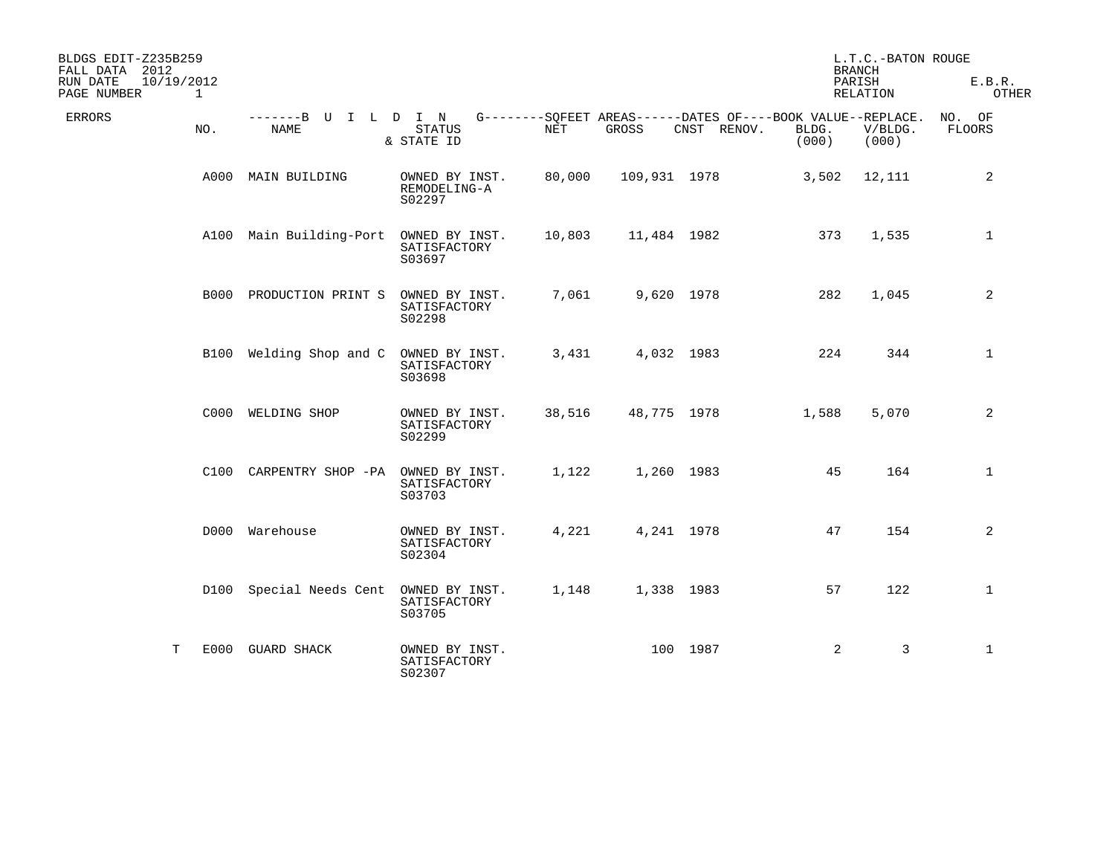| BLDGS EDIT-Z235B259<br>FALL DATA 2012<br>RUN DATE | 10/19/2012 |                              |                                          |        |              |             | <b>BRANCH</b><br>PARISH                                                       | L.T.C.-BATON ROUGE<br>E.B.R. |                  |
|---------------------------------------------------|------------|------------------------------|------------------------------------------|--------|--------------|-------------|-------------------------------------------------------------------------------|------------------------------|------------------|
| PAGE NUMBER                                       | 1          |                              |                                          |        |              |             |                                                                               | RELATION                     | OTHER            |
| ERRORS                                            | NO.        | -------B U I L D I N<br>NAME | <b>STATUS</b><br>& STATE ID              | NET    | GROSS        | CNST RENOV. | G--------SQFEET AREAS------DATES OF----BOOK VALUE--REPLACE.<br>BLDG.<br>(000) | V/BLDG.<br>(000)             | NO. OF<br>FLOORS |
|                                                   | A000       | MAIN BUILDING                | OWNED BY INST.<br>REMODELING-A<br>S02297 | 80,000 | 109,931 1978 |             | 3,502                                                                         | 12,111                       | 2                |
|                                                   |            | A100 Main Building-Port      | OWNED BY INST.<br>SATISFACTORY<br>S03697 | 10,803 | 11,484 1982  |             | 373                                                                           | 1,535                        | $\mathbf{1}$     |
|                                                   |            | B000 PRODUCTION PRINT S      | OWNED BY INST.<br>SATISFACTORY<br>S02298 | 7,061  | 9,620 1978   |             | 282                                                                           | 1,045                        | 2                |
|                                                   |            | B100 Welding Shop and C      | OWNED BY INST.<br>SATISFACTORY<br>S03698 | 3,431  | 4,032 1983   |             | 224                                                                           | 344                          | $\mathbf{1}$     |
|                                                   |            | C000 WELDING SHOP            | OWNED BY INST.<br>SATISFACTORY<br>S02299 | 38,516 | 48,775 1978  |             | 1,588                                                                         | 5,070                        | $\overline{a}$   |
|                                                   |            | C100 CARPENTRY SHOP -PA      | OWNED BY INST.<br>SATISFACTORY<br>S03703 | 1,122  | 1,260 1983   |             | 45                                                                            | 164                          | $\mathbf{1}$     |
|                                                   |            | D000 Warehouse               | OWNED BY INST.<br>SATISFACTORY<br>S02304 | 4,221  | 4,241 1978   |             | 47                                                                            | 154                          | 2                |
|                                                   |            | D100 Special Needs Cent      | OWNED BY INST.<br>SATISFACTORY<br>S03705 | 1,148  | 1,338 1983   |             | 57                                                                            | 122                          | $\mathbf{1}$     |
|                                                   | T          | E000 GUARD SHACK             | OWNED BY INST.<br>SATISFACTORY<br>S02307 |        |              | 100 1987    | 2                                                                             | 3                            | $\mathbf{1}$     |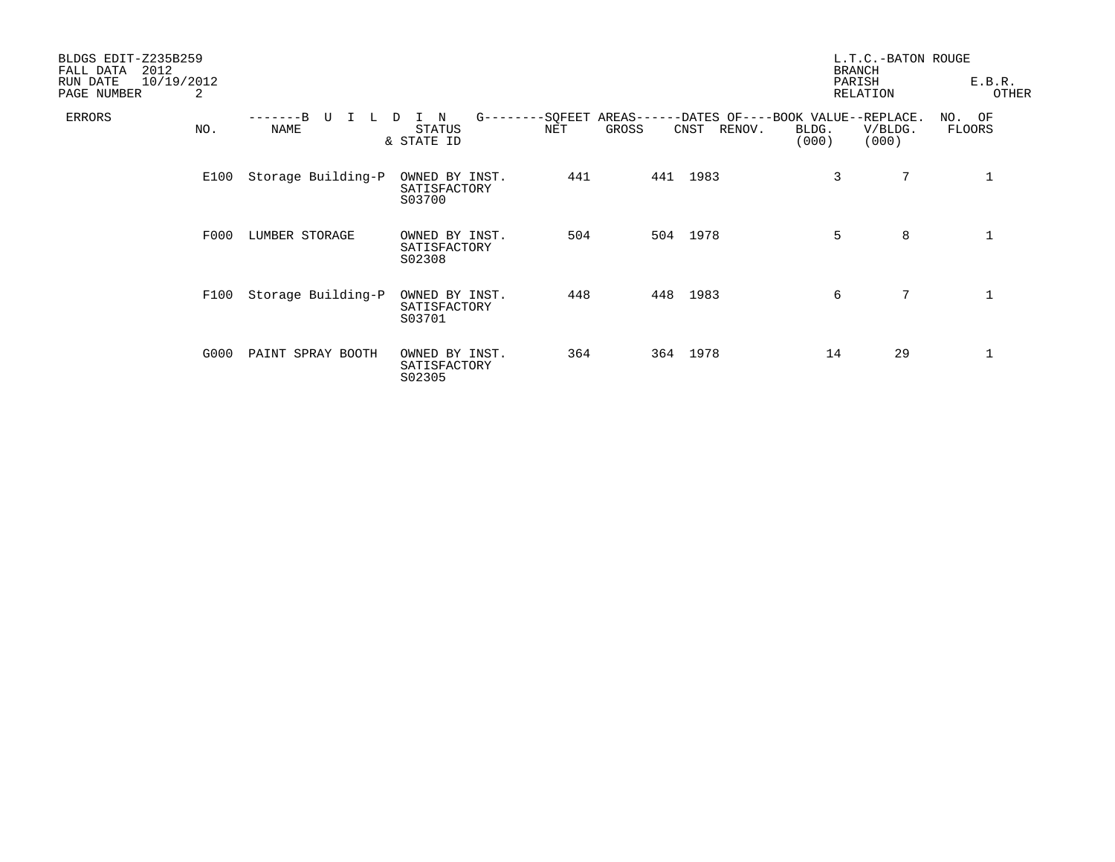| BLDGS EDIT-Z235B259<br>2012<br>FALL DATA<br>10/19/2012<br>RUN DATE<br>PAGE NUMBER | 2    |                       |                                          |     |       |                |                                                                               | L.T.C.-BATON ROUGE<br><b>BRANCH</b><br>PARISH<br>RELATION | E.B.R.<br>OTHER  |  |
|-----------------------------------------------------------------------------------|------|-----------------------|------------------------------------------|-----|-------|----------------|-------------------------------------------------------------------------------|-----------------------------------------------------------|------------------|--|
| <b>ERRORS</b>                                                                     | NO.  | U<br>L<br><b>NAME</b> | N<br>D<br>STATUS<br>& STATE ID           | NET | GROSS | RENOV.<br>CNST | G--------SQFEET AREAS------DATES OF----BOOK VALUE--REPLACE.<br>BLDG.<br>(000) | V/BLDG.<br>(000)                                          | NO. OF<br>FLOORS |  |
|                                                                                   | E100 | Storage Building-P    | OWNED BY INST.<br>SATISFACTORY<br>S03700 | 441 | 441   | 1983           | 3                                                                             | 7                                                         |                  |  |
|                                                                                   | F000 | LUMBER STORAGE        | OWNED BY INST.<br>SATISFACTORY<br>S02308 | 504 |       | 504 1978       | 5                                                                             | 8                                                         | $\mathbf{1}$     |  |
|                                                                                   | F100 | Storage Building-P    | OWNED BY INST.<br>SATISFACTORY<br>S03701 | 448 |       | 448 1983       | 6                                                                             | 7                                                         |                  |  |
|                                                                                   | G000 | PAINT SPRAY BOOTH     | OWNED BY INST.<br>SATISFACTORY<br>S02305 | 364 |       | 364 1978       | 14                                                                            | 29                                                        | $\mathbf 1$      |  |